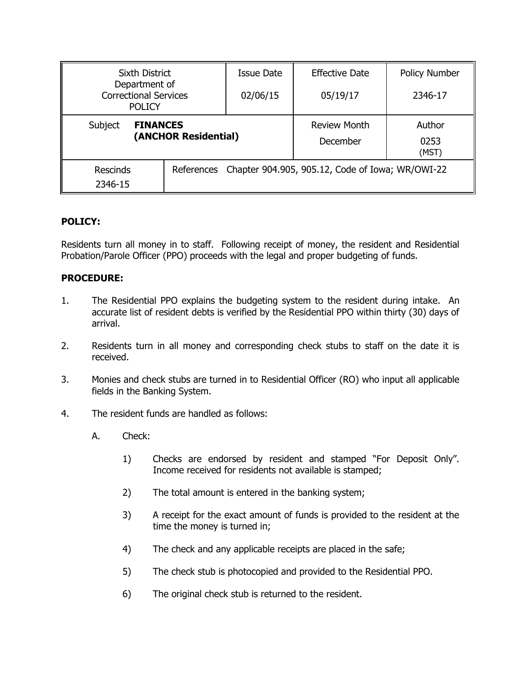| <b>Sixth District</b>                                          |  | <b>Issue Date</b>                                           | <b>Effective Date</b>   | <b>Policy Number</b> |
|----------------------------------------------------------------|--|-------------------------------------------------------------|-------------------------|----------------------|
| Department of<br><b>Correctional Services</b><br><b>POLICY</b> |  | 02/06/15                                                    | 05/19/17                | 2346-17              |
| Subject<br><b>FINANCES</b><br>(ANCHOR Residential)             |  | <b>Review Month</b><br>December                             | Author<br>0253<br>(MST) |                      |
| <b>Rescinds</b><br>2346-15                                     |  | References Chapter 904.905, 905.12, Code of Iowa; WR/OWI-22 |                         |                      |

### **POLICY:**

Residents turn all money in to staff. Following receipt of money, the resident and Residential Probation/Parole Officer (PPO) proceeds with the legal and proper budgeting of funds.

### **PROCEDURE:**

- 1. The Residential PPO explains the budgeting system to the resident during intake. An accurate list of resident debts is verified by the Residential PPO within thirty (30) days of arrival.
- 2. Residents turn in all money and corresponding check stubs to staff on the date it is received.
- 3. Monies and check stubs are turned in to Residential Officer (RO) who input all applicable fields in the Banking System.
- 4. The resident funds are handled as follows:
	- A. Check:
		- 1) Checks are endorsed by resident and stamped "For Deposit Only". Income received for residents not available is stamped;
		- 2) The total amount is entered in the banking system;
		- 3) A receipt for the exact amount of funds is provided to the resident at the time the money is turned in;
		- 4) The check and any applicable receipts are placed in the safe;
		- 5) The check stub is photocopied and provided to the Residential PPO.
		- 6) The original check stub is returned to the resident.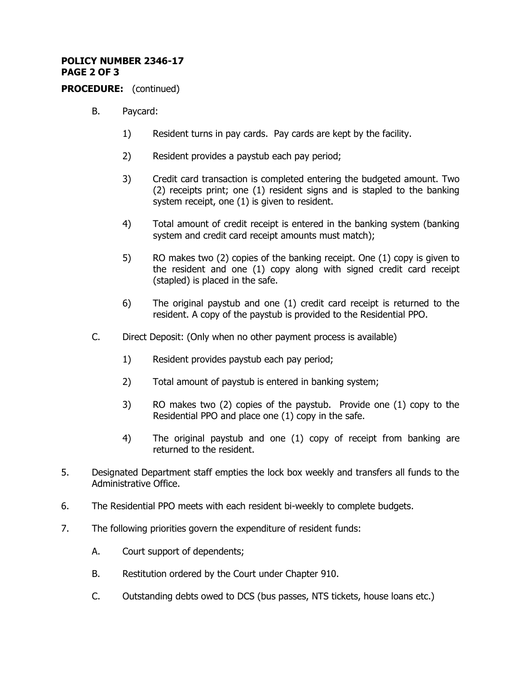# **POLICY NUMBER 2346-17 PAGE 2 OF 3**

**PROCEDURE:** (continued)

- B. Paycard:
	- 1) Resident turns in pay cards. Pay cards are kept by the facility.
	- 2) Resident provides a paystub each pay period;
	- 3) Credit card transaction is completed entering the budgeted amount. Two (2) receipts print; one (1) resident signs and is stapled to the banking system receipt, one (1) is given to resident.
	- 4) Total amount of credit receipt is entered in the banking system (banking system and credit card receipt amounts must match);
	- 5) RO makes two (2) copies of the banking receipt. One (1) copy is given to the resident and one (1) copy along with signed credit card receipt (stapled) is placed in the safe.
	- 6) The original paystub and one (1) credit card receipt is returned to the resident. A copy of the paystub is provided to the Residential PPO.
- C. Direct Deposit: (Only when no other payment process is available)
	- 1) Resident provides paystub each pay period;
	- 2) Total amount of paystub is entered in banking system;
	- 3) RO makes two (2) copies of the paystub. Provide one (1) copy to the Residential PPO and place one (1) copy in the safe.
	- 4) The original paystub and one (1) copy of receipt from banking are returned to the resident.
- 5. Designated Department staff empties the lock box weekly and transfers all funds to the Administrative Office.
- 6. The Residential PPO meets with each resident bi-weekly to complete budgets.
- 7. The following priorities govern the expenditure of resident funds:
	- A. Court support of dependents;
	- B. Restitution ordered by the Court under Chapter 910.
	- C. Outstanding debts owed to DCS (bus passes, NTS tickets, house loans etc.)